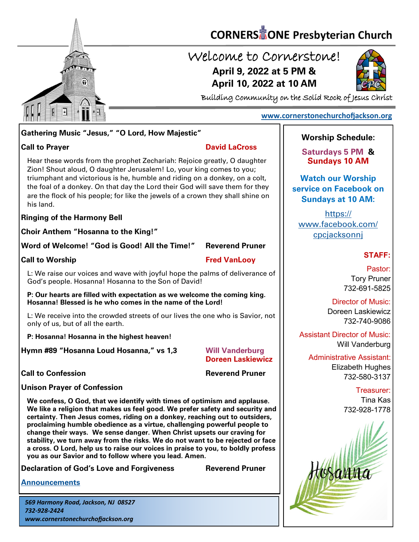

# **CORNERS** TONE Presbyterian Church

# Welcome to Cornerstone! **April 9, 2022 at 5 PM & April 10, 2022 at 10 AM**



Building Community on the Solid Rock of Jesus Christ

### **[www.cornerstonechurchofjackson.org](http://www.cornerstonechurchofjackson.org)**

### **Gathering Music "Jesus," "O Lord, How Majestic"**

**Call to Prayer David LaCross** 

 Zion! Shout aloud, O daughter Jerusalem! Lo, your king comes to you; Hear these words from the prophet Zechariah: Rejoice greatly, O daughter triumphant and victorious is he, humble and riding on a donkey, on a colt, the foal of a donkey. On that day the Lord their God will save them for they are the flock of his people; for like the jewels of a crown they shall shine on his land.

### **Ringing of the Harmony Bell**

**Choir Anthem "Hosanna to the King!"**

**Word of Welcome! "God is Good! All the Time!" Reverend Pruner**

### **Call to Worship Call to Worship Call to Worship Call to Worship Call to Worship Call to Worship Call to Worship Call to Worship Call to Worship Call to Worship Call to Worship Call to Worship Call to Worship Call to Worsh**

L: We raise our voices and wave with joyful hope the palms of deliverance of God's people. Hosanna! Hosanna to the Son of David!

**P: Our hearts are filled with expectation as we welcome the coming king. Hosanna! Blessed is he who comes in the name of the Lord!**

L: We receive into the crowded streets of our lives the one who is Savior, not only of us, but of all the earth.

**P: Hosanna! Hosanna in the highest heaven!**

**Hymn #89 "Hosanna Loud Hosanna," vs 1,3 Will Vanderburg** 

**Doreen Laskiewicz**

**Call to Confession Reverend Pruner** 

**Unison Prayer of Confession**

**We confess, O God, that we identify with times of optimism and applause. We like a religion that makes us feel good. We prefer safety and security and certainty. Then Jesus comes, riding on a donkey, reaching out to outsiders, proclaiming humble obedience as a virtue, challenging powerful people to change their ways. We sense danger. When Christ upsets our craving for stability, we turn away from the risks. We do not want to be rejected or face a cross. O Lord, help us to raise our voices in praise to you, to boldly profess you as our Savior and to follow where you lead. Amen.**

**Declaration of God's Love and Forgiveness Reverend Pruner** 

**[Announcements](http://cornerstonechurchofjackson.org/?page_id=2)**

*569 Harmony Road, Jackson, NJ 08527 732-928-2424 www.cornerstonechurchofjackson.org*

### **Worship Schedule:**

**Saturdays 5 PM & Sundays 10 AM**

**Watch our Worship service on Facebook on Sundays at 10 AM:**

[https://](https://www.facebook.com/cpcjacksonnj) [www.facebook.com/](https://www.facebook.com/cpcjacksonnj) [cpcjacksonnj](https://www.facebook.com/cpcjacksonnj)

### **STAFF:**

Pastor: Tory Pruner 732-691-5825

Director of Music: Doreen Laskiewicz 732-740-9086

Assistant Director of Music: Will Vanderburg

Administrative Assistant: Elizabeth Hughes 732-580-3137

> Treasurer: Tina Kas 732-928-1778